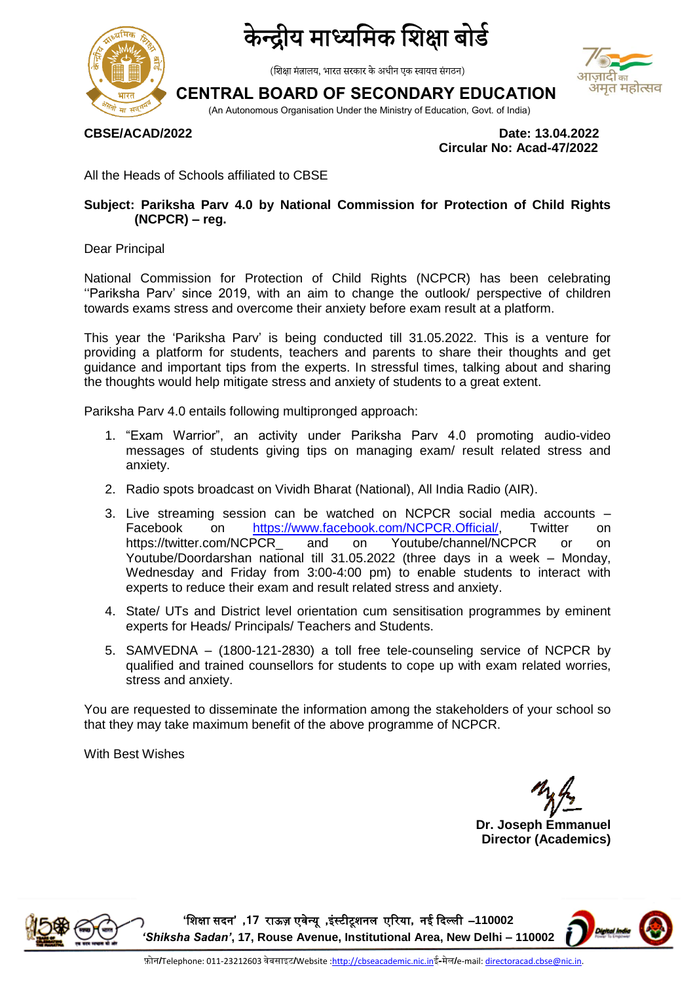

### द्रीय माध्यमिक शिक्षा बोर्ड

(शिक्षा मंत्रालय, भारत सरकार के अधीन एक स्वायत्त संगठन)

# अमृत महोत्सव

**CENTRAL BOARD OF SECONDARY EDUCATION**

(An Autonomous Organisation Under the Ministry of Education, Govt. of India)

**CBSE/ACAD/2022 Date: 13.04.2022 Circular No: Acad-47/2022**

All the Heads of Schools affiliated to CBSE

#### **Subject: Pariksha Parv 4.0 by National Commission for Protection of Child Rights (NCPCR) – reg.**

Dear Principal

National Commission for Protection of Child Rights (NCPCR) has been celebrating ''Pariksha Parv' since 2019, with an aim to change the outlook/ perspective of children towards exams stress and overcome their anxiety before exam result at a platform.

This year the 'Pariksha Parv' is being conducted till 31.05.2022. This is a venture for providing a platform for students, teachers and parents to share their thoughts and get guidance and important tips from the experts. In stressful times, talking about and sharing the thoughts would help mitigate stress and anxiety of students to a great extent.

Pariksha Parv 4.0 entails following multipronged approach:

- 1. "Exam Warrior", an activity under Pariksha Parv 4.0 promoting audio-video messages of students giving tips on managing exam/ result related stress and anxiety.
- 2. Radio spots broadcast on Vividh Bharat (National), All India Radio (AIR).
- 3. Live streaming session can be watched on NCPCR social media accounts Facebook on [https://www.facebook.com/NCPCR.Official/,](https://www.facebook.com/NCPCR.Official/) Twitter on https://twitter.com/NCPCR and on Youtube/channel/NCPCR or on Youtube/Doordarshan national till 31.05.2022 (three days in a week – Monday, Wednesday and Friday from 3:00-4:00 pm) to enable students to interact with experts to reduce their exam and result related stress and anxiety.
- 4. State/ UTs and District level orientation cum sensitisation programmes by eminent experts for Heads/ Principals/ Teachers and Students.
- 5. SAMVEDNA (1800-121-2830) a toll free tele-counseling service of NCPCR by qualified and trained counsellors for students to cope up with exam related worries, stress and anxiety.

You are requested to disseminate the information among the stakeholders of your school so that they may take maximum benefit of the above programme of NCPCR.

With Best Wishes

**Dr. Joseph Emmanuel Director (Academics)**



**'**शिक्षा सदन**' ,71** राऊज़ एवेन्यू **,**इंस्टीटूिनम एररया**,** नई ददल्मी –**110002**  *'Shiksha Sadan'***, 17, Rouse Avenue, Institutional Area, New Delhi – 110002**